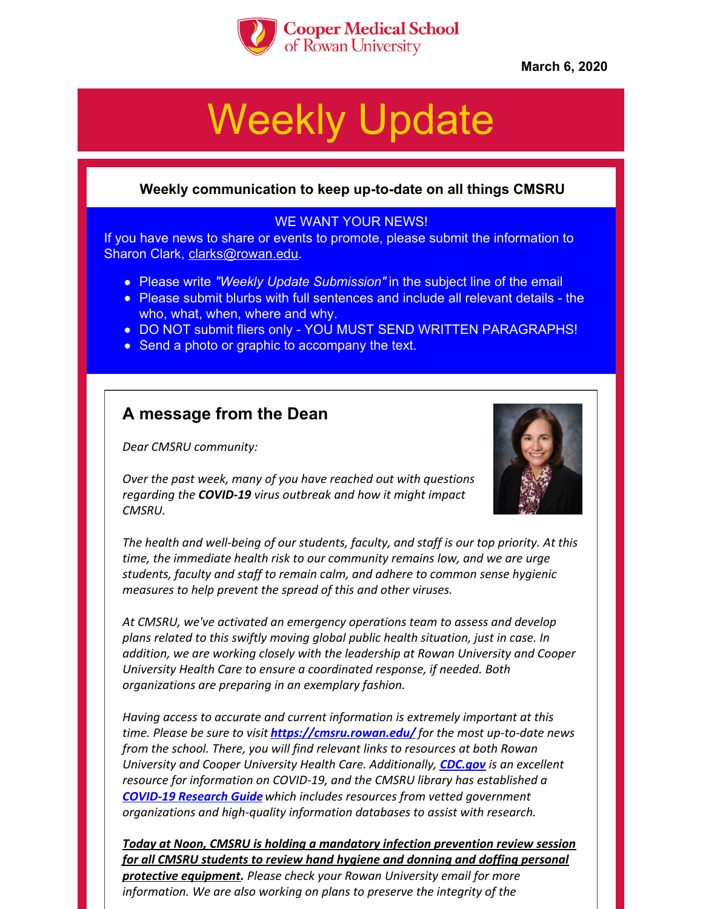

**March 6, 2020**

# Weekly Update

## **Weekly communication to keep up-to-date on all things CMSRU**

## WE WANT YOUR NEWS!

If you have news to share or events to promote, please submit the information to Sharon Clark, [clarks@rowan.edu](mailto:clarks@rowan.edu).

- Please write *"Weekly Update Submission"* in the subject line of the email
- Please submit blurbs with full sentences and include all relevant details the who, what, when, where and why.
- . DO NOT submit fliers only YOU MUST SEND WRITTEN PARAGRAPHS!
- Send a photo or graphic to accompany the text.

## **A message from the Dean**

*Dear CMSRU community:*

*Over the past week, many of you have reached out with questions regarding the COVID-19 virus outbreak and how it might impact CMSRU.*



*The health and well-being of our students, faculty, and staff is our top priority. At this time, the immediate health risk to our community remains low, and we are urge students, faculty and staff to remain calm, and adhere to common sense hygienic measures to help prevent the spread of this and other viruses.*

*At CMSRU, we've activated an emergency operations team to assess and develop plans related to this swiftly moving global public health situation, just in case. In addition, we are working closely with the leadership at Rowan University and Cooper University Health Care to ensure a coordinated response, if needed. Both organizations are preparing in an exemplary fashion.*

*Having access to accurate and current information is extremely important at this time. Please be sure to visit <https://cmsru.rowan.edu/> for the most up-to-date news from the school. There, you will find relevant links to resources at both Rowan University and Cooper University Health Care. Additionally, [CDC.gov](https://www.cdc.gov/coronavirus/2019-ncov/index.html) is an excellent resource for information on COVID-19, and the CMSRU library has established a [COVID-19](https://rowanmed.libguides.com/covid19) Research Guidewhich includes resources from vetted government organizations and high-quality information databases to assist with research.*

*Today at Noon, CMSRU is holding a mandatory infection prevention review session for all CMSRU students to review hand hygiene and donning and doffing personal protective equipment. Please check your Rowan University email for more information. We are also working on plans to preserve the integrity of the*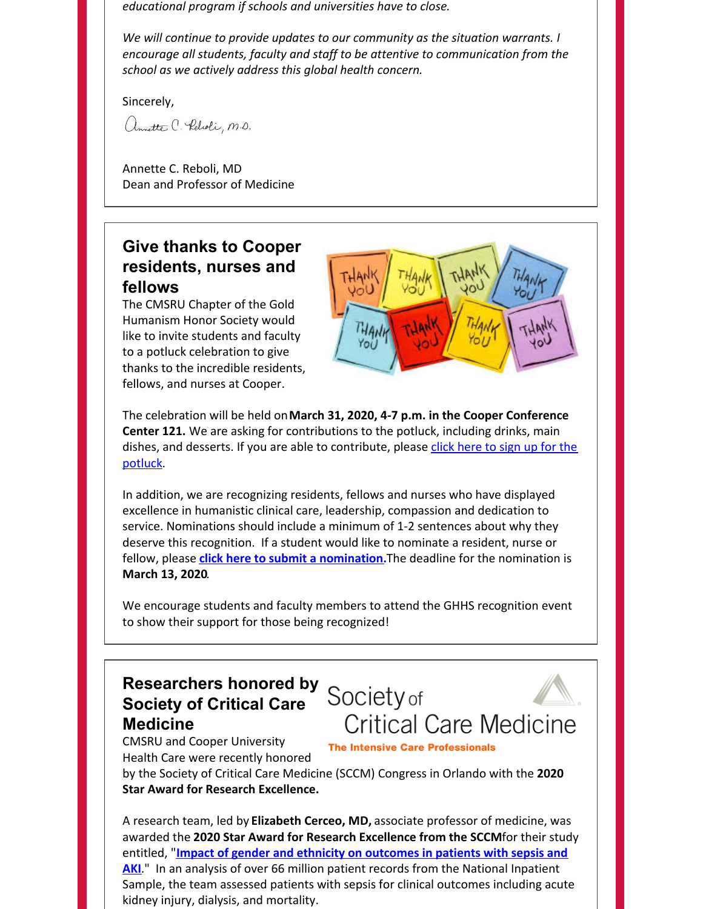*educational program if schools and universities have to close.*

*We will continue to provide updates to our community as the situation warrants. I encourage all students, faculty and staff to be attentive to communication from the school as we actively address this global health concern.*

Sincerely,

annette C. Peloti, M.D.

Annette C. Reboli, MD Dean and Professor of Medicine

## **Give thanks to Cooper residents, nurses and fellows**

The CMSRU Chapter of the Gold Humanism Honor Society would like to invite students and faculty to a potluck celebration to give thanks to the incredible residents, fellows, and nurses at Cooper.



The celebration will be held on**March 31, 2020, 4-7 p.m. in the Cooper Conference Center 121.** We are asking for contributions to the potluck, including drinks, main dishes, and desserts. If you are able to [contribute,](https://docs.google.com/spreadsheets/d/1Zzdbw1OUrSU9xA66WQLR1ea0EyhGGZ2WYwjlfJyLmRY/edit#gid=0) please click here to sign up for the potluck.

In addition, we are recognizing residents, fellows and nurses who have displayed excellence in humanistic clinical care, leadership, compassion and dedication to service. Nominations should include a minimum of 1-2 sentences about why they deserve this recognition. If a student would like to nominate a resident, nurse or fellow, please **click here to submit a [nomination](https://docs.google.com/forms/d/e/1FAIpQLSdZJYmau1Im3eOwKC19DdM_ssmroUsYed_cN8M3goAIWIKMRQ/viewform).**The deadline for the nomination is **March 13, 2020**.

We encourage students and faculty members to attend the GHHS recognition event to show their support for those being recognized!

# **Researchers honored by Society of Critical Care Medicine**



CMSRU and Cooper University Health Care were recently honored

**The Intensive Care Professionals** 

by the Society of Critical Care Medicine (SCCM) Congress in Orlando with the **2020 Star Award for Research Excellence.**

A research team, led by **Elizabeth Cerceo, MD,** associate professor of medicine, was awarded the **2020 Star Award for Research Excellence from the SCCM**for their study entitled, "**Impact of gender and ethnicity on [outcomes](https://journals.lww.com/ccmjournal/Fulltext/2020/01001/62__IMPACT_OF_GENDER_AND_ETHNICITY_ON_OUTCOMES_IN.65.aspx) in patients with sepsis and AKI**." In an analysis of over 66 million patient records from the National Inpatient Sample, the team assessed patients with sepsis for clinical outcomes including acute kidney injury, dialysis, and mortality.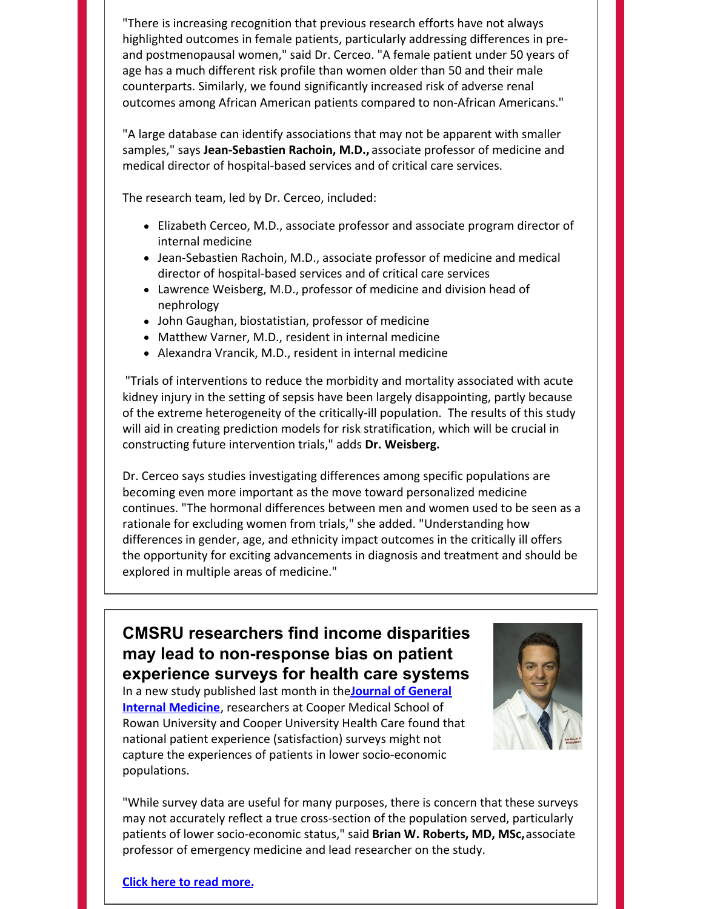"There is increasing recognition that previous research efforts have not always highlighted outcomes in female patients, particularly addressing differences in preand postmenopausal women," said Dr. Cerceo. "A female patient under 50 years of age has a much different risk profile than women older than 50 and their male counterparts. Similarly, we found significantly increased risk of adverse renal outcomes among African American patients compared to non-African Americans."

"A large database can identify associations that may not be apparent with smaller samples," says **Jean-Sebastien Rachoin, M.D.,** associate professor of medicine and medical director of hospital-based services and of critical care services.

The research team, led by Dr. Cerceo, included:

- Elizabeth Cerceo, M.D., associate professor and associate program director of internal medicine
- Jean-Sebastien Rachoin, M.D., associate professor of medicine and medical director of hospital-based services and of critical care services
- Lawrence Weisberg, M.D., professor of medicine and division head of nephrology
- John Gaughan, biostatistian, professor of medicine
- Matthew Varner, M.D., resident in internal medicine
- Alexandra Vrancik, M.D., resident in internal medicine

"Trials of interventions to reduce the morbidity and mortality associated with acute kidney injury in the setting of sepsis have been largely disappointing, partly because of the extreme heterogeneity of the critically-ill population. The results of this study will aid in creating prediction models for risk stratification, which will be crucial in constructing future intervention trials," adds **Dr. Weisberg.**

Dr. Cerceo says studies investigating differences among specific populations are becoming even more important as the move toward personalized medicine continues. "The hormonal differences between men and women used to be seen as a rationale for excluding women from trials," she added. "Understanding how differences in gender, age, and ethnicity impact outcomes in the critically ill offers the opportunity for exciting advancements in diagnosis and treatment and should be explored in multiple areas of medicine."

## **CMSRU researchers find income disparities may lead to non-response bias on patient experience surveys for health care systems**

In a new study published last month in the**Journal of General Internal Medicine**, [researchers](https://link.springer.com/article/10.1007/s11606-020-05677-6) at Cooper Medical School of Rowan University and Cooper University Health Care found that national patient experience (satisfaction) surveys might not capture the experiences of patients in lower socio-economic populations.



"While survey data are useful for many purposes, there is concern that these surveys may not accurately reflect a true cross-section of the population served, particularly patients of lower socio-economic status," said **Brian W. Roberts, MD, MSc,**associate professor of emergency medicine and lead researcher on the study.

#### **Click here to read [more.](https://today.rowan.edu/news/2020/02/income-disparities-and--patient-response-surveys.html)**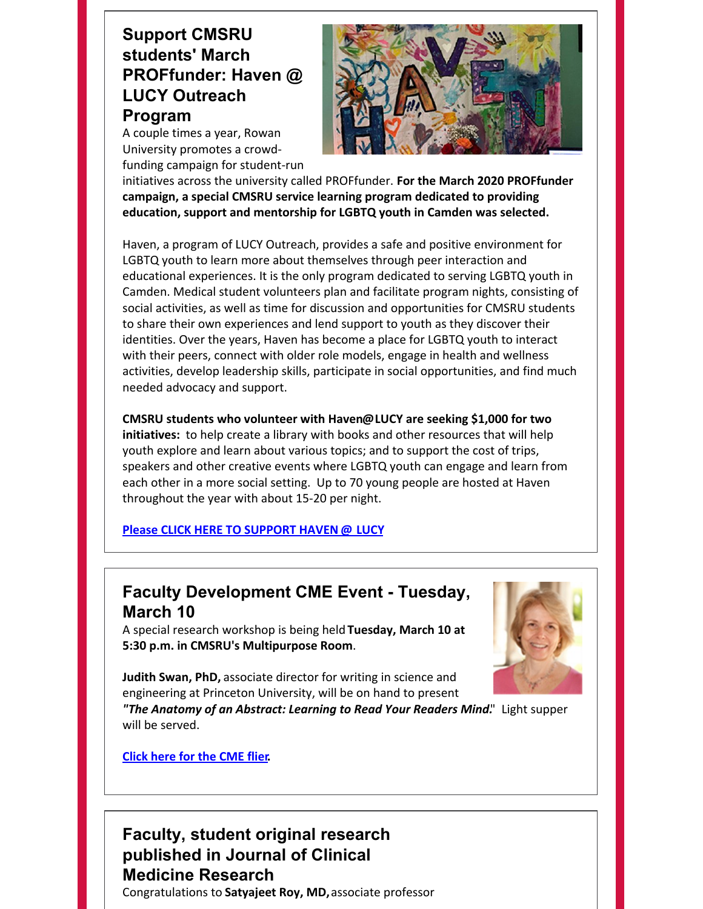# **Support CMSRU students' March PROFfunder: Haven @ LUCY Outreach Program**

A couple times a year, Rowan University promotes a crowdfunding campaign for student-run



initiatives across the university called PROFfunder. **For the March 2020 PROFfunder campaign, a special CMSRU service learning program dedicated to providing education, support and mentorship for LGBTQ youth in Camden was selected.**

Haven, a program of LUCY Outreach, provides a safe and positive environment for LGBTQ youth to learn more about themselves through peer interaction and educational experiences. It is the only program dedicated to serving LGBTQ youth in Camden. Medical student volunteers plan and facilitate program nights, consisting of social activities, as well as time for discussion and opportunities for CMSRU students to share their own experiences and lend support to youth as they discover their identities. Over the years, Haven has become a place for LGBTQ youth to interact with their peers, connect with older role models, engage in health and wellness activities, develop leadership skills, participate in social opportunities, and find much needed advocacy and support.

**CMSRU students who volunteer with Haven@LUCY are seeking \$1,000 for two initiatives:** to help create a library with books and other resources that will help youth explore and learn about various topics; and to support the cost of trips, speakers and other creative events where LGBTQ youth can engage and learn from each other in a more social setting. Up to 70 young people are hosted at Haven throughout the year with about 15-20 per night.

**Please CLICK HERE TO [SUPPORT](https://secure.rufoundation.org/s/1653/02-alumni/giving/interior.aspx?sid=1653&gid=2&pgid=2382&Bledit=1&DIDS=945&cid=4479) HAVEN @ LUCY**

# **Faculty Development CME Event - Tuesday, March 10**

A special research workshop is being held **Tuesday, March 10 at 5:30 p.m. in CMSRU's Multipurpose Room**.



**Judith Swan, PhD,** associate director for writing in science and engineering at Princeton University, will be on hand to present

*"The Anatomy of an Abstract: Learning to Read Your Readers Mind.*" Light supper will be served.

**[Click](https://files.constantcontact.com/a75e3261201/b3f79ca6-c242-4e69-a3c3-feaf5a981d31.pdf) here for the CME flier.**

## **Faculty, student original research published in Journal of Clinical Medicine Research** Congratulations to **Satyajeet Roy, MD,**associate professor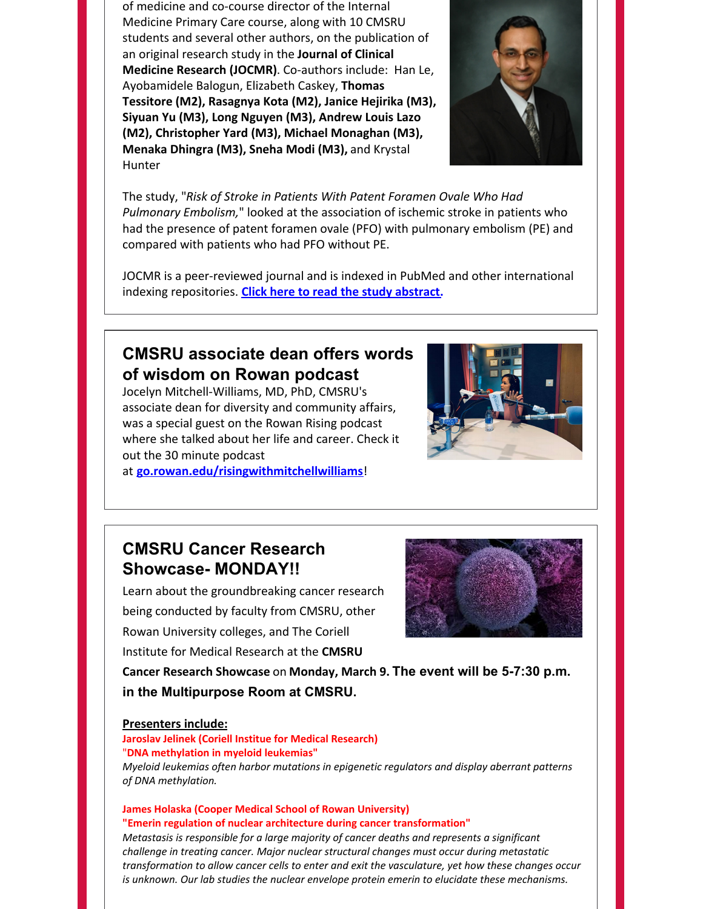of medicine and co-course director of the Internal Medicine Primary Care course, along with 10 CMSRU students and several other authors, on the publication of an original research study in the **Journal of Clinical Medicine Research (JOCMR)**. Co-authors include: Han Le, Ayobamidele Balogun, Elizabeth Caskey, **Thomas Tessitore (M2), Rasagnya Kota (M2), Janice Hejirika (M3), Siyuan Yu (M3), Long Nguyen (M3), Andrew Louis Lazo (M2), Christopher Yard (M3), Michael Monaghan (M3), Menaka Dhingra (M3), Sneha Modi (M3),** and Krystal Hunter



The study, "*Risk of Stroke in Patients With Patent Foramen Ovale Who Had Pulmonary Embolism,*" looked at the association of ischemic stroke in patients who had the presence of patent foramen ovale (PFO) with pulmonary embolism (PE) and compared with patients who had PFO without PE.

JOCMR is a peer-reviewed journal and is indexed in PubMed and other international indexing repositories. **Click here to read the study [abstract](https://www.jocmr.org/index.php/JOCMR/article/view/4094).**

## **CMSRU associate dean offers words of wisdom on Rowan podcast**

Jocelyn Mitchell-Williams, MD, PhD, CMSRU's associate dean for diversity and community affairs, was a special guest on the Rowan Rising podcast where she talked about her life and career. Check it out the 30 minute podcast

at **[go.rowan.edu/risingwithmitchellwilliams](http://go.rowan.edu/risingwithmitchellwilliams)**!



# **CMSRU Cancer Research Showcase- MONDAY!!**

Learn about the groundbreaking cancer research being conducted by faculty from CMSRU, other Rowan University colleges, and The Coriell Institute for Medical Research at the **CMSRU**



**Cancer Research Showcase** on **Monday, March 9. The event will be 5-7:30 p.m. in the Multipurpose Room at CMSRU.**

### **Presenters include:**

## **Jaroslav Jelinek (Coriell Institue for Medical Research)** "**DNA methylation in myeloid leukemias"** *Myeloid leukemias often harbor mutations in epigenetic regulators and display aberrant patterns*

*of DNA methylation.*

#### **James Holaska (Cooper Medical School of Rowan University) "Emerin regulation of nuclear architecture during cancer transformation"**

*Metastasis is responsible for a large majority of cancer deaths and represents a significant challenge in treating cancer. Major nuclear structural changes must occur during metastatic transformation to allow cancer cells to enter and exit the vasculature, yet how these changes occur is unknown. Our lab studies the nuclear envelope protein emerin to elucidate these mechanisms.*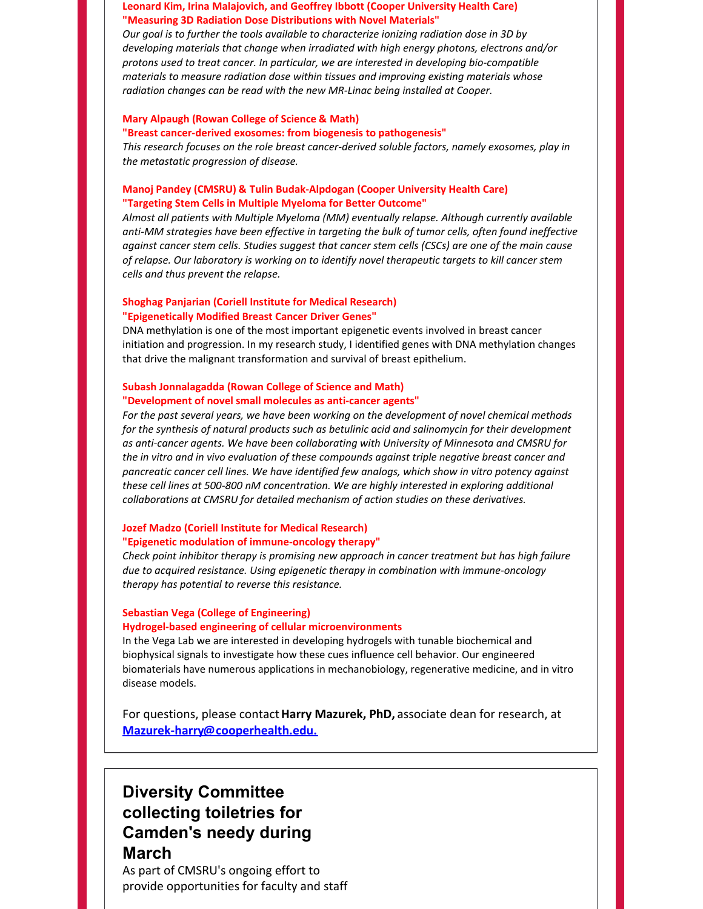#### **Leonard Kim, Irina Malajovich, and Geoffrey Ibbott (Cooper University Health Care) "Measuring 3D Radiation Dose Distributions with Novel Materials"**

*Our goal is to further the tools available to characterize ionizing radiation dose in 3D by developing materials that change when irradiated with high energy photons, electrons and/or protons used to treat cancer. In particular, we are interested in developing bio-compatible materials to measure radiation dose within tissues and improving existing materials whose radiation changes can be read with the new MR-Linac being installed at Cooper.*

#### **Mary Alpaugh (Rowan College of Science & Math)**

#### **"Breast cancer-derived exosomes: from biogenesis to pathogenesis"**

*This research focuses on the role breast cancer-derived soluble factors, namely exosomes, play in the metastatic progression of disease.*

#### **Manoj Pandey (CMSRU) & Tulin Budak-Alpdogan (Cooper University Health Care) "Targeting Stem Cells in Multiple Myeloma for Better Outcome"**

*Almost all patients with Multiple Myeloma (MM) eventually relapse. Although currently available anti-MM strategies have been effective in targeting the bulk of tumor cells, often found ineffective against cancer stem cells. Studies suggest that cancer stem cells (CSCs) are one of the main cause of relapse. Our laboratory is working on to identify novel therapeutic targets to kill cancer stem cells and thus prevent the relapse.*

#### **Shoghag Panjarian (Coriell Institute for Medical Research) "Epigenetically Modified Breast Cancer Driver Genes"**

DNA methylation is one of the most important epigenetic events involved in breast cancer initiation and progression. In my research study, I identified genes with DNA methylation changes that drive the malignant transformation and survival of breast epithelium.

#### **Subash Jonnalagadda (Rowan College of Science and Math) "Development of novel small molecules as anti-cancer agents"**

*For the past several years, we have been working on the development of novel chemical methods for the synthesis of natural products such as betulinic acid and salinomycin for their development as anti-cancer agents. We have been collaborating with University of Minnesota and CMSRU for the in vitro and in vivo evaluation of these compounds against triple negative breast cancer and pancreatic cancer cell lines. We have identified few analogs, which show in vitro potency against these cell lines at 500-800 nM concentration. We are highly interested in exploring additional collaborations at CMSRU for detailed mechanism of action studies on these derivatives.*

#### **Jozef Madzo (Coriell Institute for Medical Research)**

#### **"Epigenetic modulation of immune-oncology therapy"**

*Check point inhibitor therapy is promising new approach in cancer treatment but has high failure due to acquired resistance. Using epigenetic therapy in combination with immune-oncology therapy has potential to reverse this resistance.*

#### **Sebastian Vega (College of Engineering) Hydrogel-based engineering of cellular microenvironments**

In the Vega Lab we are interested in developing hydrogels with tunable biochemical and biophysical signals to investigate how these cues influence cell behavior. Our engineered biomaterials have numerous applications in mechanobiology, regenerative medicine, and in vitro disease models.

For questions, please contact**Harry Mazurek, PhD,** associate dean for research, at **[Mazurek-harry@cooperhealth.edu.](mailto:Mazurek-harry@cooperhealth.edu)**

# **Diversity Committee collecting toiletries for Camden's needy during March**

As part of CMSRU's ongoing effort to provide opportunities for faculty and staff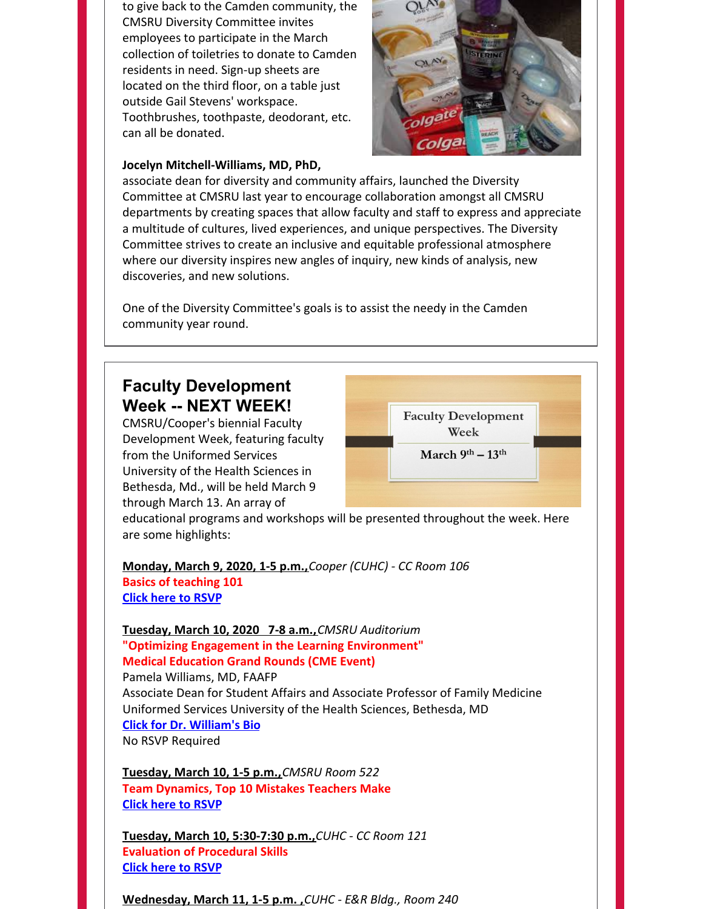to give back to the Camden community, the CMSRU Diversity Committee invites employees to participate in the March collection of toiletries to donate to Camden residents in need. Sign-up sheets are located on the third floor, on a table just outside Gail Stevens' workspace. Toothbrushes, toothpaste, deodorant, etc. can all be donated.



## **Jocelyn Mitchell-Williams, MD, PhD,**

associate dean for diversity and community affairs, launched the Diversity Committee at CMSRU last year to encourage collaboration amongst all CMSRU departments by creating spaces that allow faculty and staff to express and appreciate a multitude of cultures, lived experiences, and unique perspectives. The Diversity Committee strives to create an inclusive and equitable professional atmosphere where our diversity inspires new angles of inquiry, new kinds of analysis, new discoveries, and new solutions.

One of the Diversity Committee's goals is to assist the needy in the Camden community year round.

## **Faculty Development Week -- NEXT WEEK!**

CMSRU/Cooper's biennial Faculty Development Week, featuring faculty from the Uniformed Services University of the Health Sciences in Bethesda, Md., will be held March 9 through March 13. An array of



March 9th  $-13$ <sup>th</sup>

educational programs and workshops will be presented throughout the week. Here are some highlights:

**Monday, March 9, 2020, 1-5 p.m.,***Cooper (CUHC) - CC Room 106* **Basics of teaching 101 Click here to [RSVP](https://docs.google.com/forms/d/e/1FAIpQLSdeIZcP9g5G8GZW8ez8wpMOHRj0eejUlshNyEchdcEtXJCNNw/viewform)**

## **Tuesday, March 10, 2020 7-8 a.m.,***CMSRU Auditorium* **"Optimizing Engagement in the Learning Environment" Medical Education Grand Rounds (CME Event)**

Pamela Williams, MD, FAAFP Associate Dean for Student Affairs and Associate Professor of Family Medicine Uniformed Services University of the Health Sciences, Bethesda, MD **Click for Dr. [William's](https://www.usuhs.edu/students/campuslife/stuaffairsassociatedean) Bio** No RSVP Required

**Tuesday, March 10, 1-5 p.m.,***CMSRU Room 522* **Team Dynamics, Top 10 Mistakes Teachers Make Click here to [RSVP](https://docs.google.com/forms/d/e/1FAIpQLSdeIZcP9g5G8GZW8ez8wpMOHRj0eejUlshNyEchdcEtXJCNNw/viewform)**

**Tuesday, March 10, 5:30-7:30 p.m.,***CUHC - CC Room 121* **Evaluation of Procedural Skills Click here to [RSVP](https://docs.google.com/forms/d/e/1FAIpQLSev7CzXo5-DtNJ3qdqnCostMucsHSIlv4Q5ARL0Gi0g9f9Uvg/viewform)**

**Wednesday, March 11, 1-5 p.m. ,***CUHC - E&R Bldg., Room 240*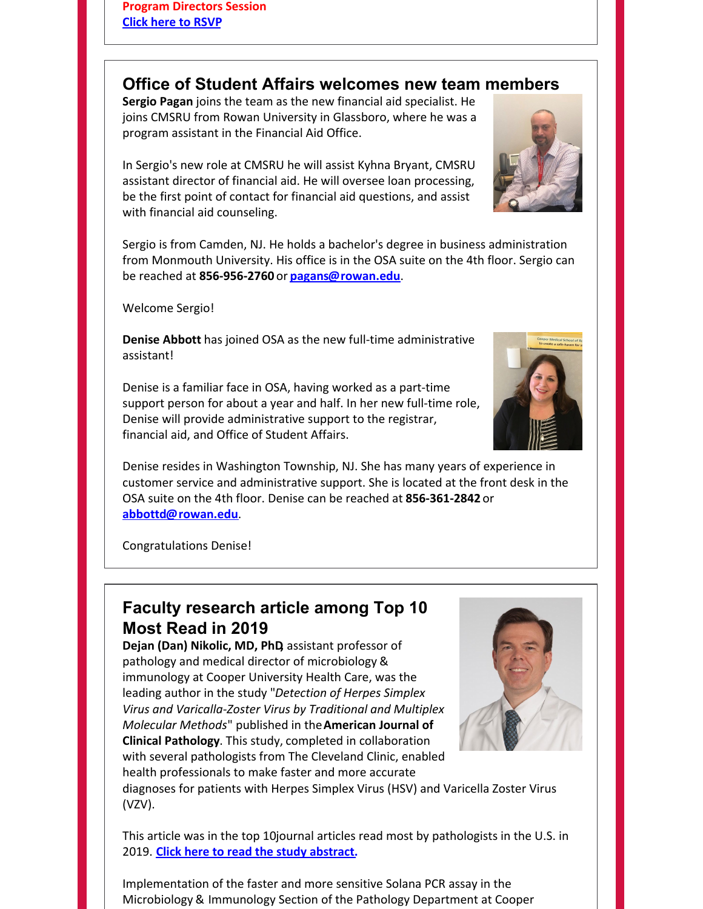# **Office of Student Affairs welcomes new team members**

**Sergio Pagan** joins the team as the new financial aid specialist. He joins CMSRU from Rowan University in Glassboro, where he was a program assistant in the Financial Aid Office.

In Sergio's new role at CMSRU he will assist Kyhna Bryant, CMSRU assistant director of financial aid. He will oversee loan processing, be the first point of contact for financial aid questions, and assist with financial aid counseling.

Sergio is from Camden, NJ. He holds a bachelor's degree in business administration from Monmouth University. His office is in the OSA suite on the 4th floor. Sergio can be reached at **856-956-2760** or **[pagans@rowan.edu](mailto:pagans@rowan.edu)**.

Welcome Sergio!

**Denise Abbott** has joined OSA as the new full-time administrative assistant!

Denise is a familiar face in OSA, having worked as a part-time support person for about a year and half. In her new full-time role, Denise will provide administrative support to the registrar, financial aid, and Office of Student Affairs.

Denise resides in Washington Township, NJ. She has many years of experience in customer service and administrative support. She is located at the front desk in the OSA suite on the 4th floor. Denise can be reached at **856-361-2842** or **[abbottd@rowan.edu](mailto:abbottd@rowan.edu)**.

Congratulations Denise!

# **Faculty research article among Top 10 Most Read in 2019**

**Dejan (Dan) Nikolic, MD, PhD,** assistant professor of pathology and medical director of microbiology & immunology at Cooper University Health Care, was the leading author in the study "*Detection of Herpes Simplex Virus and Varicalla-Zoster Virus by Traditional and Multiplex Molecular Methods*" published in the**American Journal of Clinical Pathology**. This study, completed in collaboration with several pathologists from The Cleveland Clinic, enabled health professionals to make faster and more accurate



diagnoses for patients with Herpes Simplex Virus (HSV) and Varicella Zoster Virus (VZV).

This article was in the top 10journal articles read most by pathologists in the U.S. in 2019. **Click here to read the study [abstract](https://www.ncbi.nlm.nih.gov/pubmed/30239569).**

Implementation of the faster and more sensitive Solana PCR assay in the Microbiology & Immunology Section of the Pathology Department at Cooper



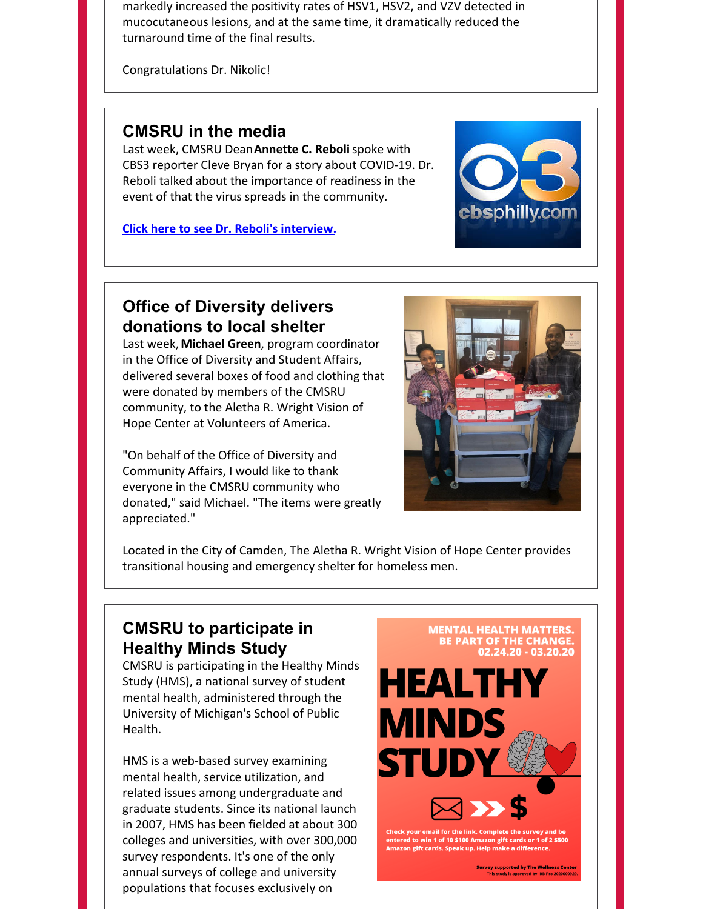markedly increased the positivity rates of HSV1, HSV2, and VZV detected in mucocutaneous lesions, and at the same time, it dramatically reduced the turnaround time of the final results.

Congratulations Dr. Nikolic!

## **CMSRU in the media**

Last week, CMSRU Dean**Annette C. Reboli**spoke with CBS3 reporter Cleve Bryan for a story about COVID-19. Dr. Reboli talked about the importance of readiness in the event of that the virus spreads in the community.

**Click here to see Dr. Reboli's [interview.](https://philadelphia.cbslocal.com/2020/02/27/philadelphia-area-mass-transit-systems-taking-action-to-protect-travelers-in-preparation-for-possible-coronavirus-outbreak/)**



## **Office of Diversity delivers donations to local shelter**

Last week,**Michael Green**, program coordinator in the Office of Diversity and Student Affairs, delivered several boxes of food and clothing that were donated by members of the CMSRU community, to the Aletha R. Wright Vision of Hope Center at Volunteers of America.

"On behalf of the Office of Diversity and Community Affairs, I would like to thank everyone in the CMSRU community who donated," said Michael. "The items were greatly appreciated."



Located in the City of Camden, The Aletha R. Wright Vision of Hope Center provides transitional housing and emergency shelter for homeless men.

## **CMSRU to participate in Healthy Minds Study**

CMSRU is participating in the Healthy Minds Study (HMS), a national survey of student mental health, administered through the University of Michigan's School of Public Health.

HMS is a web-based survey examining mental health, service utilization, and related issues among undergraduate and graduate students. Since its national launch in 2007, HMS has been fielded at about 300 colleges and universities, with over 300,000 survey respondents. It's one of the only annual surveys of college and university populations that focuses exclusively on